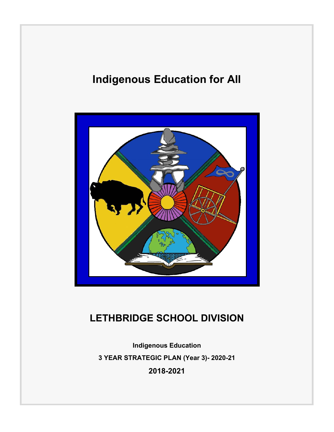# **Indigenous Education for All**



# **LETHBRIDGE SCHOOL DIVISION**

**Indigenous Education 3 YEAR STRATEGIC PLAN (Year 3)- 2020-21 2018-2021**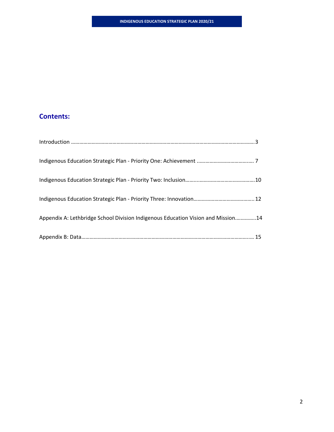### **Contents:**

| Appendix A: Lethbridge School Division Indigenous Education Vision and Mission14 |  |
|----------------------------------------------------------------------------------|--|
|                                                                                  |  |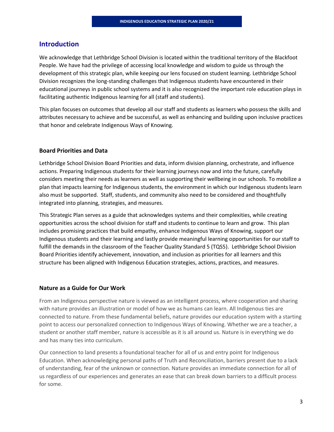### **Introduction**

We acknowledge that Lethbridge School Division is located within the traditional territory of the Blackfoot People. We have had the privilege of accessing local knowledge and wisdom to guide us through the development of this strategic plan, while keeping our lens focused on student learning. Lethbridge School Division recognizes the long‐standing challenges that Indigenous students have encountered in their educational journeys in public school systems and it is also recognized the important role education plays in facilitating authentic Indigenous learning for all (staff and students).

This plan focuses on outcomes that develop all our staff and students as learners who possess the skills and attributes necessary to achieve and be successful, as well as enhancing and building upon inclusive practices that honor and celebrate Indigenous Ways of Knowing.

### **Board Priorities and Data**

Lethbridge School Division Board Priorities and data, inform division planning, orchestrate, and influence actions. Preparing Indigenous students for their learning journeys now and into the future, carefully considers meeting their needs as learners as well as supporting their wellbeing in our schools. To mobilize a plan that impacts learning for Indigenous students, the environment in which our Indigenous students learn also must be supported. Staff, students, and community also need to be considered and thoughtfully integrated into planning, strategies, and measures.

This Strategic Plan serves as a guide that acknowledges systems and their complexities, while creating opportunities across the school division for staff and students to continue to learn and grow. This plan includes promising practices that build empathy, enhance Indigenous Ways of Knowing, support our Indigenous students and their learning and lastly provide meaningful learning opportunities for our staff to fulfill the demands in the classroom of the Teacher Quality Standard 5 (TQS5). Lethbridge School Division Board Priorities identify achievement, innovation, and inclusion as priorities for all learners and this structure has been aligned with Indigenous Education strategies, actions, practices, and measures.

### **Nature as a Guide for Our Work**

From an Indigenous perspective nature is viewed as an intelligent process, where cooperation and sharing with nature provides an illustration or model of how we as humans can learn. All Indigenous ties are connected to nature. From these fundamental beliefs, nature provides our education system with a starting point to access our personalized connection to Indigenous Ways of Knowing. Whether we are a teacher, a student or another staff member, nature is accessible as it is all around us. Nature is in everything we do and has many ties into curriculum.

Our connection to land presents a foundational teacher for all of us and entry point for Indigenous Education. When acknowledging personal paths of Truth and Reconciliation, barriers present due to a lack of understanding, fear of the unknown or connection. Nature provides an immediate connection for all of us regardless of our experiences and generates an ease that can break down barriers to a difficult process for some.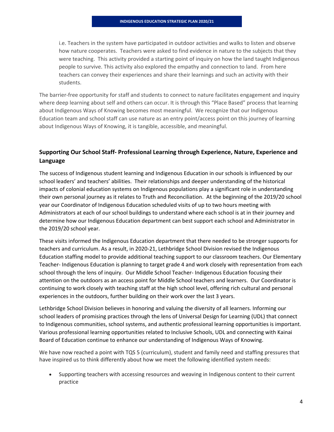i.e. Teachers in the system have participated in outdoor activities and walks to listen and observe how nature cooperates. Teachers were asked to find evidence in nature to the subjects that they were teaching. This activity provided a starting point of inquiry on how the land taught Indigenous people to survive. This activity also explored the empathy and connection to land. From here teachers can convey their experiences and share their learnings and such an activity with their students.

The barrier‐free opportunity for staff and students to connect to nature facilitates engagement and inquiry where deep learning about self and others can occur. It is through this "Place Based" process that learning about Indigenous Ways of Knowing becomes most meaningful. We recognize that our Indigenous Education team and school staff can use nature as an entry point/access point on this journey of learning about Indigenous Ways of Knowing, it is tangible, accessible, and meaningful.

### **Supporting Our School Staff‐ Professional Learning through Experience, Nature, Experience and Language**

The success of Indigenous student learning and Indigenous Education in our schools is influenced by our school leaders' and teachers' abilities. Their relationships and deeper understanding of the historical impacts of colonial education systems on Indigenous populations play a significant role in understanding their own personal journey as it relates to Truth and Reconciliation. At the beginning of the 2019/20 school year our Coordinator of Indigenous Education scheduled visits of up to two hours meeting with Administrators at each of our school buildings to understand where each school is at in their journey and determine how our Indigenous Education department can best support each school and Administrator in the 2019/20 school year.

These visits informed the Indigenous Education department that there needed to be stronger supports for teachers and curriculum. As a result, in 2020‐21, Lethbridge School Division revised the Indigenous Education staffing model to provide additional teaching support to our classroom teachers. Our Elementary Teacher‐ Indigenous Education is planning to target grade 4 and work closely with representation from each school through the lens of inquiry. Our Middle School Teacher- Indigenous Education focusing their attention on the outdoors as an access point for Middle School teachers and learners. Our Coordinator is continuing to work closely with teaching staff at the high school level, offering rich cultural and personal experiences in the outdoors, further building on their work over the last 3 years.

Lethbridge School Division believes in honoring and valuing the diversity of all learners. Informing our school leaders of promising practices through the lens of Universal Design for Learning (UDL) that connect to Indigenous communities, school systems, and authentic professional learning opportunities is important. Various professional learning opportunities related to Inclusive Schools, UDL and connecting with Kainai Board of Education continue to enhance our understanding of Indigenous Ways of Knowing.

We have now reached a point with TQS 5 (curriculum), student and family need and staffing pressures that have inspired us to think differently about how we meet the following identified system needs:

 Supporting teachers with accessing resources and weaving in Indigenous content to their current practice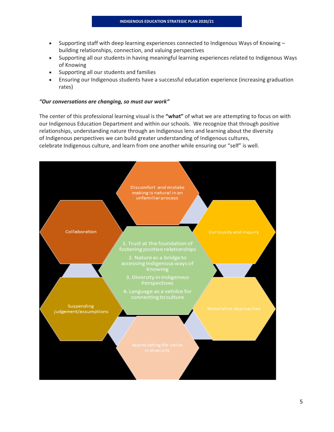- $\bullet$  Supporting staff with deep learning experiences connected to Indigenous Ways of Knowing building relationships, connection, and valuing perspectives
- Supporting all our students in having meaningful learning experiences related to Indigenous Ways of Knowing
- Supporting all our students and families
- Ensuring our Indigenous students have a successful education experience (increasing graduation rates)

#### *"Our conversations are changing, so must our work"*

The center of this professional learning visual is the **"what"** of what we are attempting to focus on with our Indigenous Education Department and within our schools. We recognize that through positive relationships, understanding nature through an Indigenous lens and learning about the diversity of Indigenous perspectives we can build greater understanding of Indigenous cultures, celebrate Indigenous culture, and learn from one another while ensuring our "self" is well.

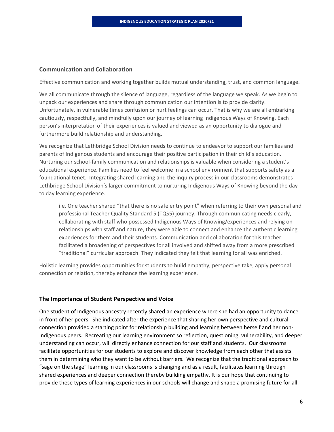#### **Communication and Collaboration**

Effective communication and working together builds mutual understanding, trust, and common language.

We all communicate through the silence of language, regardless of the language we speak. As we begin to unpack our experiences and share through communication our intention is to provide clarity. Unfortunately, in vulnerable times confusion or hurt feelings can occur. That is why we are all embarking cautiously, respectfully, and mindfully upon our journey of learning Indigenous Ways of Knowing. Each person's interpretation of their experiences is valued and viewed as an opportunity to dialogue and furthermore build relationship and understanding.

We recognize that Lethbridge School Division needs to continue to endeavor to support our families and parents of Indigenous students and encourage their positive participation in their child's education. Nurturing our school‐family communication and relationships is valuable when considering a student's educational experience. Families need to feel welcome in a school environment that supports safety as a foundational tenet. Integrating shared learning and the inquiry process in our classrooms demonstrates Lethbridge School Division's larger commitment to nurturing Indigenous Ways of Knowing beyond the day to day learning experience.

i.e. One teacher shared "that there is no safe entry point" when referring to their own personal and professional Teacher Quality Standard 5 (TQS5) journey. Through communicating needs clearly, collaborating with staff who possessed Indigenous Ways of Knowing/experiences and relying on relationships with staff and nature, they were able to connect and enhance the authentic learning experiences for them and their students. Communication and collaboration for this teacher facilitated a broadening of perspectives for all involved and shifted away from a more prescribed "traditional" curricular approach. They indicated they felt that learning for all was enriched.

Holistic learning provides opportunities for students to build empathy, perspective take, apply personal connection or relation, thereby enhance the learning experience.

### **The Importance of Student Perspective and Voice**

One student of Indigenous ancestry recently shared an experience where she had an opportunity to dance in front of her peers. She indicated after the experience that sharing her own perspective and cultural connection provided a starting point for relationship building and learning between herself and her non‐ Indigenous peers. Recreating our learning environment so reflection, questioning, vulnerability, and deeper understanding can occur, will directly enhance connection for our staff and students. Our classrooms facilitate opportunities for our students to explore and discover knowledge from each other that assists them in determining who they want to be without barriers. We recognize that the traditional approach to "sage on the stage" learning in our classrooms is changing and as a result, facilitates learning through shared experiences and deeper connection thereby building empathy. It is our hope that continuing to provide these types of learning experiences in our schools will change and shape a promising future for all.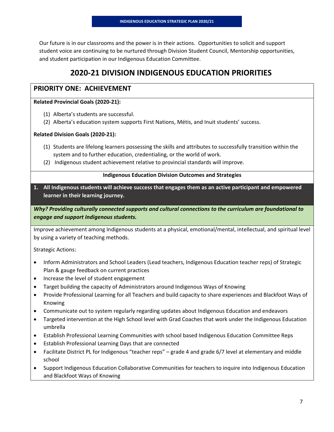Our future is in our classrooms and the power is in their actions. Opportunities to solicit and support student voice are continuing to be nurtured through Division Student Council, Mentorship opportunities, and student participation in our Indigenous Education Committee.

# **2020‐21 DIVISION INDIGENOUS EDUCATION PRIORITIES**

### **PRIORITY ONE: ACHIEVEMENT**

### **Related Provincial Goals (2020‐21):**

- (1) Alberta's students are successful.
- (2) Alberta's education system supports First Nations, Métis, and Inuit students' success.

### **Related Division Goals (2020‐21):**

- (1) Students are lifelong learners possessing the skills and attributes to successfully transition within the system and to further education, credentialing, or the world of work.
- (2) Indigenous student achievement relative to provincial standards will improve.

### **Indigenous Education Division Outcomes and Strategies**

**1. All Indigenous students will achieve success that engages them as an active participant and empowered learner in their learning journey.**

*Why? Providing culturally connected supports and cultural connections to the curriculum are foundational to engage and support Indigenous students.* 

Improve achievement among Indigenous students at a physical, emotional/mental, intellectual, and spiritual level by using a variety of teaching methods.

Strategic Actions:

- Inform Administrators and School Leaders (Lead teachers, Indigenous Education teacher reps) of Strategic Plan & gauge feedback on current practices
- Increase the level of student engagement
- Target building the capacity of Administrators around Indigenous Ways of Knowing
- Provide Professional Learning for all Teachers and build capacity to share experiences and Blackfoot Ways of Knowing
- Communicate out to system regularly regarding updates about Indigenous Education and endeavors
- Targeted intervention at the High School level with Grad Coaches that work under the Indigenous Education umbrella
- Establish Professional Learning Communities with school based Indigenous Education Committee Reps
- Establish Professional Learning Days that are connected
- Facilitate District PL for Indigenous "teacher reps" grade 4 and grade 6/7 level at elementary and middle school
- Support Indigenous Education Collaborative Communities for teachers to inquire into Indigenous Education and Blackfoot Ways of Knowing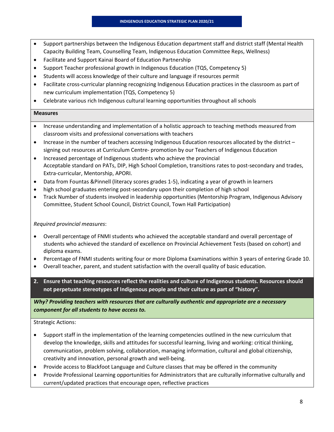- Support partnerships between the Indigenous Education department staff and district staff (Mental Health Capacity Building Team, Counselling Team, Indigenous Education Committee Reps, Wellness)
- Facilitate and Support Kainai Board of Education Partnership
- Support Teacher professional growth in Indigenous Education (TQS, Competency 5)
- Students will access knowledge of their culture and language if resources permit
- Facilitate cross‐curricular planning recognizing Indigenous Education practices in the classroom as part of new curriculum implementation (TQS, Competency 5)
- Celebrate various rich Indigenous cultural learning opportunities throughout all schools

#### **Measures**

- Increase understanding and implementation of a holistic approach to teaching methods measured from classroom visits and professional conversations with teachers
- Increase in the number of teachers accessing Indigenous Education resources allocated by the district signing out resources at Curriculum Centre‐ promotion by our Teachers of Indigenous Education
- Increased percentage of Indigenous students who achieve the provincial Acceptable standard on PATs, DIP, High School Completion, transitions rates to post‐secondary and trades, Extra‐curricular, Mentorship, APORI.
- Data from Fountas & Pinnell (literacy scores grades 1-5), indicating a year of growth in learners
- high school graduates entering post-secondary upon their completion of high school
- Track Number of students involved in leadership opportunities (Mentorship Program, Indigenous Advisory Committee, Student School Council, District Council, Town Hall Participation)

### *Required provincial measures*:

- Overall percentage of FNMI students who achieved the acceptable standard and overall percentage of students who achieved the standard of excellence on Provincial Achievement Tests (based on cohort) and diploma exams.
- Percentage of FNMI students writing four or more Diploma Examinations within 3 years of entering Grade 10.
- Overall teacher, parent, and student satisfaction with the overall quality of basic education.
- **2. Ensure that teaching resources reflect the realities and culture of Indigenous students. Resources should not perpetuate stereotypes of Indigenous people and their culture as part of "history".**

*Why? Providing teachers with resources that are culturally authentic and appropriate are a necessary component for all students to have access to.* 

### Strategic Actions:

- Support staff in the implementation of the learning competencies outlined in the new curriculum that develop the knowledge, skills and attitudes for successful learning, living and working: critical thinking, communication, problem solving, collaboration, managing information, cultural and global citizenship, creativity and innovation, personal growth and well‐being.
- Provide access to Blackfoot Language and Culture classes that may be offered in the community
- Provide Professional Learning opportunities for Administrators that are culturally informative culturally and current/updated practices that encourage open, reflective practices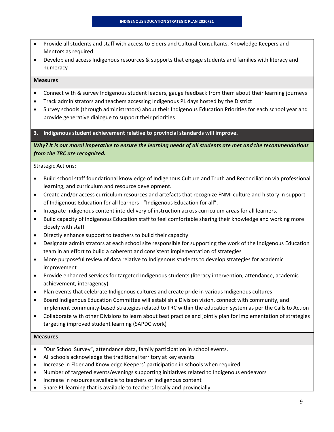- Provide all students and staff with access to Elders and Cultural Consultants, Knowledge Keepers and Mentors as required
- Develop and access Indigenous resources & supports that engage students and families with literacy and numeracy

#### **Measures**

- Connect with & survey Indigenous student leaders, gauge feedback from them about their learning journeys
- Track administrators and teachers accessing Indigenous PL days hosted by the District
- Survey schools (through administrators) about their Indigenous Education Priorities for each school year and provide generative dialogue to support their priorities

#### **3. Indigenous student achievement relative to provincial standards will improve.**

Why? It is our moral imperative to ensure the learning needs of all students are met and the recommendations *from the TRC are recognized.* 

Strategic Actions:

- Build school staff foundational knowledge of Indigenous Culture and Truth and Reconciliation via professional learning, and curriculum and resource development.
- Create and/or access curriculum resources and artefacts that recognize FNMI culture and history in support of Indigenous Education for all learners ‐ "Indigenous Education for all".
- Integrate Indigenous content into delivery of instruction across curriculum areas for all learners.
- Build capacity of Indigenous Education staff to feel comfortable sharing their knowledge and working more closely with staff
- Directly enhance support to teachers to build their capacity
- Designate administrators at each school site responsible for supporting the work of the Indigenous Education team in an effort to build a coherent and consistent implementation of strategies
- More purposeful review of data relative to Indigenous students to develop strategies for academic improvement
- Provide enhanced services for targeted Indigenous students (literacy intervention, attendance, academic achievement, interagency)
- Plan events that celebrate Indigenous cultures and create pride in various Indigenous cultures
- Board Indigenous Education Committee will establish a Division vision, connect with community, and implement community-based strategies related to TRC within the education system as per the Calls to Action
- Collaborate with other Divisions to learn about best practice and jointly plan for implementation of strategies targeting improved student learning (SAPDC work)

- "Our School Survey", attendance data, family participation in school events.
- All schools acknowledge the traditional territory at key events
- Increase in Elder and Knowledge Keepers' participation in schools when required
- Number of targeted events/evenings supporting initiatives related to Indigenous endeavors
- Increase in resources available to teachers of Indigenous content
- Share PL learning that is available to teachers locally and provincially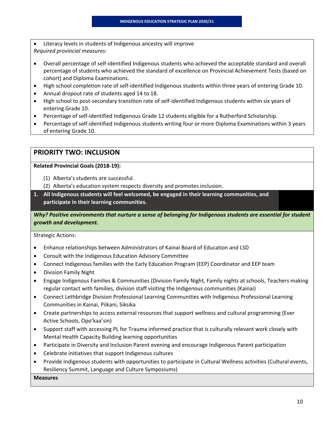Literacy levels in students of Indigenous ancestry will improve *Required provincial measures:*

- Overall percentage of self‐identified Indigenous students who achieved the acceptable standard and overall percentage of students who achieved the standard of excellence on Provincial Achievement Tests (based on cohort) and Diploma Examinations.
- High school completion rate of self-identified Indigenous students within three years of entering Grade 10.
- Annual dropout rate of students aged 14 to 18.
- High school to post-secondary transition rate of self-identified Indigenous students within six years of entering Grade 10.
- Percentage of self‐identified Indigenous Grade 12 students eligible for a Rutherford Scholarship.
- Percentage of self‐identified Indigenous students writing four or more Diploma Examinations within 3 years of entering Grade 10.

### **PRIORITY TWO: INCLUSION**

**Related Provincial Goals (2018‐19):**

- (1) Alberta's students are successful.
- (2) Alberta's education system respects diversity and promotes inclusion.
- **1. All Indigenous students will feel welcomed, be engaged in their learning communities, and participate in their learning communities.**

*Why? Positive environments that nurture a sense of belonging for Indigenous students are essential for student growth and development.* 

Strategic Actions:

- Enhance relationships between Administrators of Kainai Board of Education and LSD
- Consult with the Indigenous Education Advisory Committee
- Connect Indigenous families with the Early Education Program (EEP) Coordinator and EEP team
- Division Family Night
- Engage Indigenous Families & Communities (Division Family Night, Family nights at schools, Teachers making regular contact with families, division staff visiting the Indigenous communities (Kainai)
- Connect Lethbridge Division Professional Learning Communities with Indigenous Professional Learning Communities in Kainai, Piikani, Siksika
- Create partnerships to access external resources that support wellness and cultural programming (Ever Active Schools, Opo'kaa'sin)
- Support staff with accessing PL for Trauma informed practice that is culturally relevant work closely with Mental Health Capacity Building learning opportunities
- Participate in Diversity and Inclusion Parent evening and encourage Indigenous Parent participation
- Celebrate initiatives that support Indigenous cultures
- Provide Indigenous students with opportunities to participate in Cultural Wellness activities (Cultural events, Resiliency Summit, Language and Culture Symposiums)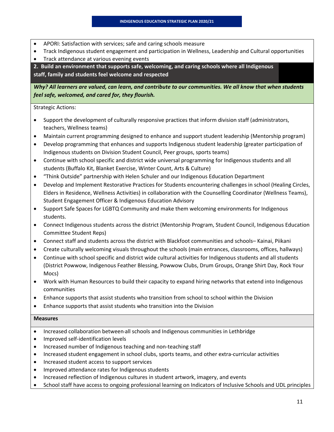- APORI: Satisfaction with services; safe and caring schools measure
- Track Indigenous student engagement and participation in Wellness, Leadership and Cultural opportunities
- **•** Track attendance at various evening events

**2. Build an environment that supports safe, welcoming, and caring schools where all Indigenous staff, family and students feel welcome and respected**

Why? All learners are valued, can learn, and contribute to our communities. We all know that when students *feel safe, welcomed, and cared for, they flourish.*

Strategic Actions:

- Support the development of culturally responsive practices that inform division staff (administrators, teachers, Wellness teams)
- Maintain current programming designed to enhance and support student leadership (Mentorship program)
- Develop programming that enhances and supports Indigenous student leadership (greater participation of Indigenous students on Division Student Council, Peer groups, sports teams)
- Continue with school specific and district wide universal programming for Indigenous students and all students (Buffalo Kit, Blanket Exercise, Winter Count, Arts & Culture)
- "Think Outside" partnership with Helen Schuler and our Indigenous Education Department
- Develop and Implement Restorative Practices for Students encountering challenges in school (Healing Circles, Elders in Residence, Wellness Activities) in collaboration with the Counselling Coordinator (Wellness Teams), Student Engagement Officer & Indigenous Education Advisory
- Support Safe Spaces for LGBTQ Community and make them welcoming environments for Indigenous students.
- Connect Indigenous students across the district (Mentorship Program, Student Council, Indigenous Education Committee Student Reps)
- Connect staff and students across the district with Blackfoot communities and schools– Kainai, Piikani
- Create culturally welcoming visuals throughout the schools (main entrances, classrooms, offices, hallways)
- Continue with school specific and district wide cultural activities for Indigenous students and all students (District Powwow, Indigenous Feather Blessing, Powwow Clubs, Drum Groups, Orange Shirt Day, Rock Your Mocs)
- Work with Human Resources to build their capacity to expand hiring networks that extend into Indigenous communities
- Enhance supports that assist students who transition from school to school within the Division
- Enhance supports that assist students who transition into the Division

- Increased collaboration between all schools and Indigenous communities in Lethbridge
- Improved self‐identification levels
- Increased number of Indigenous teaching and non‐teaching staff
- Increased student engagement in school clubs, sports teams, and other extra‐curricular activities
- Increased student access to support services
- Improved attendance rates for Indigenous students
- Increased reflection of Indigenous cultures in student artwork, imagery, and events
- School staff have access to ongoing professional learning on Indicators of Inclusive Schools and UDL principles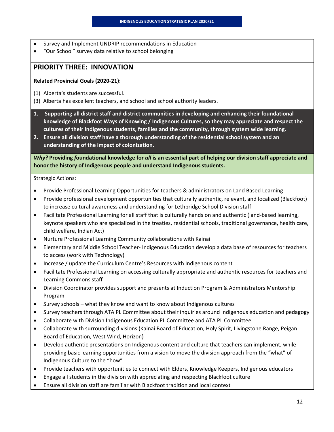- Survey and Implement UNDRIP recommendations in Education
- "Our School" survey data relative to school belonging

### **PRIORITY THREE: INNOVATION**

#### **Related Provincial Goals (2020‐21):**

- (1) Alberta's students are successful.
- (3) Alberta has excellent teachers, and school and school authority leaders.
- **1. Supporting all district staff and district communities in developing and enhancing their foundational knowledge of Blackfoot Ways of Knowing / Indigenous Cultures, so they may appreciate and respect the cultures of their Indigenous students, families and the community, through system wide learning.**
- **2. Ensure all division staff have a thorough understanding of the residential school system and an understanding of the impact of colonization.**

Why? Providing foundational knowledge for all is an essential part of helping our division staff appreciate and **honor the history of Indigenous people and understand Indigenous students.** 

Strategic Actions:

- Provide Professional Learning Opportunities for teachers & administrators on Land Based Learning
- Provide professional development opportunities that culturally authentic, relevant, and localized (Blackfoot) to increase cultural awareness and understanding for Lethbridge School Division staff
- Facilitate Professional Learning for all staff that is culturally hands on and authentic (land‐based learning, keynote speakers who are specialized in the treaties, residential schools, traditional governance, health care, child welfare, Indian Act)
- Nurture Professional Learning Community collaborations with Kainai
- Elementary and Middle School Teacher‐ Indigenous Education develop a data base of resources for teachers to access (work with Technology)
- Increase / update the Curriculum Centre's Resources with Indigenous content
- Facilitate Professional Learning on accessing culturally appropriate and authentic resources for teachers and Learning Commons staff
- Division Coordinator provides support and presents at Induction Program & Administrators Mentorship Program
- Survey schools what they know and want to know about Indigenous cultures
- Survey teachers through ATA PL Committee about their inquiries around Indigenous education and pedagogy
- Collaborate with Division Indigenous Education PL Committee and ATA PL Committee
- Collaborate with surrounding divisions (Kainai Board of Education, Holy Spirit, Livingstone Range, Peigan Board of Education, West Wind, Horizon)
- Develop authentic presentations on Indigenous content and culture that teachers can implement, while providing basic learning opportunities from a vision to move the division approach from the "what" of Indigenous Culture to the "how"
- Provide teachers with opportunities to connect with Elders, Knowledge Keepers, Indigenous educators
- Engage all students in the division with appreciating and respecting Blackfoot culture
- Ensure all division staff are familiar with Blackfoot tradition and local context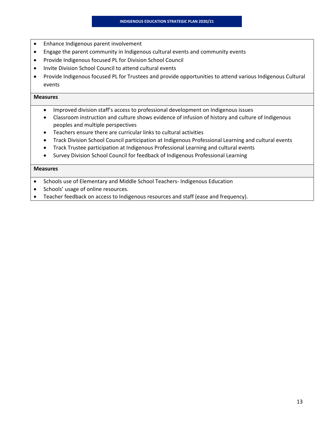- Enhance Indigenous parent involvement
- Engage the parent community in Indigenous cultural events and community events
- Provide Indigenous focused PL for Division School Council
- Invite Division School Council to attend cultural events
- Provide Indigenous focused PL for Trustees and provide opportunities to attend various Indigenous Cultural events

#### **Measures**

- Improved division staff's access to professional development on Indigenous issues
- Classroom instruction and culture shows evidence of infusion of history and culture of Indigenous peoples and multiple perspectives
- Teachers ensure there are curricular links to cultural activities
- Track Division School Council participation at Indigenous Professional Learning and cultural events
- Track Trustee participation at Indigenous Professional Learning and cultural events
- Survey Division School Council for feedback of Indigenous Professional Learning

- Schools use of Elementary and Middle School Teachers-Indigenous Education
- Schools' usage of online resources.
- Teacher feedback on access to Indigenous resources and staff (ease and frequency).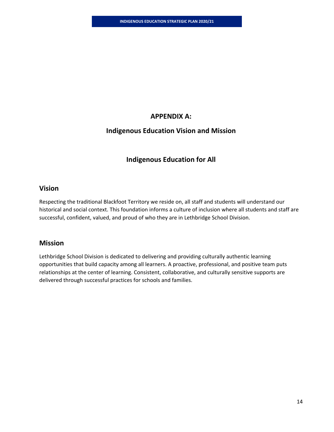### **APPENDIX A:**

### **Indigenous Education Vision and Mission**

### **Indigenous Education for All**

### **Vision**

Respecting the traditional Blackfoot Territory we reside on, all staff and students will understand our historical and social context. This foundation informs a culture of inclusion where all students and staff are successful, confident, valued, and proud of who they are in Lethbridge School Division.

### **Mission**

Lethbridge School Division is dedicated to delivering and providing culturally authentic learning opportunities that build capacity among all learners. A proactive, professional, and positive team puts relationships at the center of learning. Consistent, collaborative, and culturally sensitive supports are delivered through successful practices for schools and families.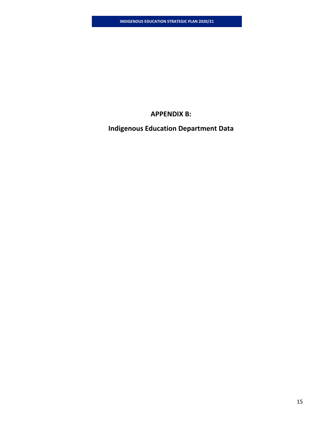### **APPENDIX B:**

# **Indigenous Education Department Data**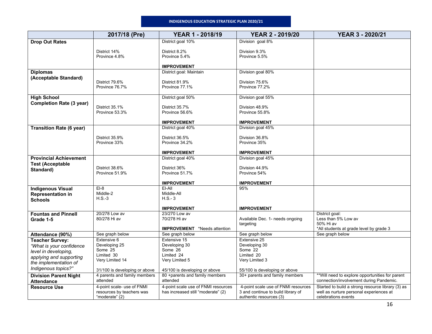#### **INDIGENOUS EDUCATION STRATEGIC PLAN 2020/21**

|                                          | 2017/18 (Pre)                            | <b>YEAR 1 - 2018/19</b>                       | <b>YEAR 2 - 2019/20</b>             | <b>YEAR 3 - 2020/21</b>                                                                     |
|------------------------------------------|------------------------------------------|-----------------------------------------------|-------------------------------------|---------------------------------------------------------------------------------------------|
| <b>Drop Out Rates</b>                    |                                          | District goal 10%                             | Division goal 8%                    |                                                                                             |
|                                          | District 14%                             | District 8.2%                                 | Division 9.3%                       |                                                                                             |
|                                          | Province 4.8%                            | Province 5.4%                                 | Province 5.5%                       |                                                                                             |
|                                          |                                          |                                               |                                     |                                                                                             |
| <b>Diplomas</b>                          |                                          | <b>IMPROVEMENT</b><br>District goal: Maintain | Division goal 80%                   |                                                                                             |
| (Acceptable Standard)                    |                                          |                                               |                                     |                                                                                             |
|                                          | District 79.6%                           | District 81.9%                                | Division 75.6%                      |                                                                                             |
|                                          | Province 76.7%                           | Province 77.1%                                | Province 77.2%                      |                                                                                             |
| <b>High School</b>                       |                                          | District goal 50%                             | Division goal 55%                   |                                                                                             |
| <b>Completion Rate (3 year)</b>          |                                          |                                               |                                     |                                                                                             |
|                                          | District 35.1%                           | District 35.7%                                | Division 48.9%                      |                                                                                             |
|                                          | Province 53.3%                           | Province 56.6%                                | Province 55.8%                      |                                                                                             |
|                                          |                                          | <b>IMPROVEMENT</b>                            | <b>IMPROVEMENT</b>                  |                                                                                             |
| <b>Transition Rate (6 year)</b>          |                                          | District goal 40%                             | Division goal 45%                   |                                                                                             |
|                                          | District 35.9%                           | District 36.5%                                | Division 36.8%                      |                                                                                             |
|                                          | Province 33%                             | Province 34.2%                                | Province 35%                        |                                                                                             |
|                                          |                                          |                                               |                                     |                                                                                             |
|                                          |                                          | <b>IMPROVEMENT</b>                            | <b>IMPROVEMENT</b>                  |                                                                                             |
| <b>Provincial Achievement</b>            |                                          | District goal 40%                             | Division goal 45%                   |                                                                                             |
| <b>Test (Acceptable</b><br>Standard)     | District 38.6%                           | District 36%                                  | Division 44.9%                      |                                                                                             |
|                                          | Province 51.9%                           | Province 51.7%                                | Province 54%                        |                                                                                             |
|                                          |                                          | <b>IMPROVEMENT</b>                            | <b>IMPROVEMENT</b>                  |                                                                                             |
| <b>Indigenous Visual</b>                 | $EI-8$                                   | EI-AII                                        | 95%                                 |                                                                                             |
| <b>Representation in</b>                 | Middle-2                                 | Middle-All                                    |                                     |                                                                                             |
| <b>Schools</b>                           | $H.S.-3$                                 | $H.S.-3$                                      |                                     |                                                                                             |
|                                          |                                          | <b>IMPROVEMENT</b>                            | <b>IMPROVEMENT</b>                  |                                                                                             |
| <b>Fountas and Pinnell</b>               | 20/278 Low av                            | 23/270 Low av                                 |                                     | District goal:                                                                              |
| Grade 1-5                                | 80/278 Hi av                             | 70/278 Hi av                                  | Available Dec. 1- needs ongoing     | Less than 5% Low av                                                                         |
|                                          |                                          | <b>IMPROVEMENT</b> *Needs attention           | targeting                           | 50% Hi av<br>*All students at grade level by grade 3                                        |
| Attendance (90%)                         | See graph below                          | See graph below                               | See graph below                     | See graph below                                                                             |
| <b>Teacher Survey:</b>                   | Extensive 6                              | Extensive 15                                  | Extensive 25                        |                                                                                             |
| "What is your confidence                 | Developing 25                            | Developing 30                                 | Developing 30                       |                                                                                             |
| level in developing,                     | Some 25<br>Limited 30                    | Some 26<br>Limited 24                         | Some 22<br>Limited 20               |                                                                                             |
| applying and supporting                  | Very Limited 14                          | Very Limited 5                                | Very Limited 3                      |                                                                                             |
| the implementation of                    |                                          |                                               |                                     |                                                                                             |
| Indigenous topics?"                      | 31/100 is developing or above            | 45/100 is developing or above                 | 55/100 is developing or above       |                                                                                             |
| <b>Division Parent Night</b>             | 4 parents and family members<br>attended | 80 +parents and family members<br>attended    | 30+ parents and family members      | ** Will need to explore opportunities for parent<br>connection/involvement during Pandemic. |
| <b>Attendance</b><br><b>Resource Use</b> | 4-point scale- use of FNMI               | 4-point scale use of FNMI resources           | 4-point scale use of FNMI resources | Started to build a strong resource library (3) as                                           |
|                                          | resources by teachers was                | has increased still "moderate" (2)            | 3 and continue to build library of  | well as nurture personal experiences at                                                     |
|                                          | "moderate" (2)                           |                                               | authentic resources (3)             | celebrations events                                                                         |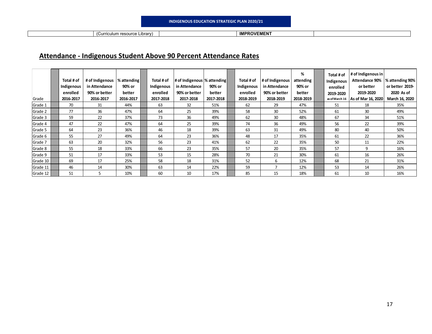**IMPROVEMENT IMPROVEMENT** 

## **Attendance ‐ Indigenous Student Above 90 Percent Attendance Rates**

| Grade    | Total # of<br>Indigenous<br>enrolled<br>2016-2017 | # of Indigenous<br>in Attendance<br>90% or better<br>2016-2017 | % attending<br>90% or<br>better<br>2016-2017 | Total # of<br>Indigenous<br>enrolled<br>2017-2018 | # of Indigenous  % attending<br>in Attendance<br>90% or better<br>2017-2018 | 90% or<br>better<br>2017-2018 | Total # of<br>Indigenous<br>enrolled<br>2018-2019 | # of Indigenous<br>in Attendance<br>90% or better<br>2018-2019 | %<br>attending<br>90% or<br>better<br>2018-2019 | Total # of<br>Indigenous<br>enrolled<br>2019-2020 | # of Indigenous in<br><b>Attendance 90%</b><br>or better<br>2019-2020<br>as of March 16   As of Mar 16, 2020 | % attending 90%<br>or better 2019-<br>2020 As of<br>March 16, 2020 |
|----------|---------------------------------------------------|----------------------------------------------------------------|----------------------------------------------|---------------------------------------------------|-----------------------------------------------------------------------------|-------------------------------|---------------------------------------------------|----------------------------------------------------------------|-------------------------------------------------|---------------------------------------------------|--------------------------------------------------------------------------------------------------------------|--------------------------------------------------------------------|
| Grade 1  | 70                                                | 31                                                             | 44%                                          | 63                                                | 32                                                                          | 51%                           | 62                                                | 29                                                             | 47%                                             | 51                                                | 18                                                                                                           | 35%                                                                |
| Grade 2  | 77                                                | 36                                                             | 47%                                          | 64                                                | 25                                                                          | 39%                           | 58                                                | 30                                                             | 52%                                             | 61                                                | 30                                                                                                           | 49%                                                                |
| Grade 3  | 59                                                | 22                                                             | 37%                                          | 73                                                | 36                                                                          | 49%                           | 62                                                | 30                                                             | 48%                                             | 67                                                | 34                                                                                                           | 51%                                                                |
| Grade 4  | 47                                                | 22                                                             | 47%                                          | 64                                                | 25                                                                          | 39%                           | 74                                                | 36                                                             | 49%                                             | 56                                                | 22                                                                                                           | 39%                                                                |
| Grade 5  | 64                                                | 23                                                             | 36%                                          | 46                                                | 18                                                                          | 39%                           | 63                                                | 31                                                             | 49%                                             | 80                                                | 40                                                                                                           | 50%                                                                |
| Grade 6  | 55                                                | 27                                                             | 49%                                          | 64                                                | 23                                                                          | 36%                           | 48                                                | 17                                                             | 35%                                             | 61                                                | 22                                                                                                           | 36%                                                                |
| Grade 7  | 63                                                | 20                                                             | 32%                                          | 56                                                | 23                                                                          | 41%                           | 62                                                | 22                                                             | 35%                                             | 50                                                | 11                                                                                                           | 22%                                                                |
| Grade 8  | 55                                                | 18                                                             | 33%                                          | 66                                                | 23                                                                          | 35%                           | 57                                                | 20                                                             | 35%                                             | 57                                                | 9                                                                                                            | 16%                                                                |
| Grade 9  | 51                                                | 17                                                             | 33%                                          | 53                                                | 15                                                                          | 28%                           | 70                                                | 21                                                             | 30%                                             | 61                                                | 16                                                                                                           | 26%                                                                |
| Grade 10 | 69                                                | 17                                                             | 25%                                          | 58                                                | 18                                                                          | 31%                           | 52                                                | 6                                                              | 12%                                             | 68                                                | 21                                                                                                           | 31%                                                                |
| Grade 11 | 46                                                | 14                                                             | 30%                                          | 63                                                | 14                                                                          | 22%                           | 59                                                |                                                                | 12%                                             | 53                                                | 14                                                                                                           | 26%                                                                |
| Grade 12 | 51                                                | ∽                                                              | 10%                                          | 60                                                | 10                                                                          | 17%                           | 85                                                | 15                                                             | 18%                                             | 61                                                | 10                                                                                                           | 16%                                                                |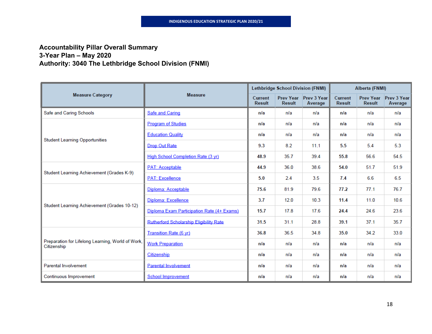### **Accountability Pillar Overall Summary 3-Year Plan – May 2020 Authority: 3040 The Lethbridge School Division (FNMI)**

|                                                                  |                                            |                                 | Lethbridge School Division (FNMI) |                                  |                          | Alberta (FNMI)                    |                               |
|------------------------------------------------------------------|--------------------------------------------|---------------------------------|-----------------------------------|----------------------------------|--------------------------|-----------------------------------|-------------------------------|
| <b>Measure Category</b>                                          | <b>Measure</b>                             | <b>Current</b><br><b>Result</b> | <b>Result</b>                     | Prev Year Prev 3 Year<br>Average | Current<br><b>Result</b> | <b>Prev Year</b><br><b>Result</b> | <b>Prev 3 Year</b><br>Average |
| Safe and Caring Schools                                          | <b>Safe and Caring</b>                     | n/a                             | n/a                               | n/a                              | n/a                      | n/a                               | n/a                           |
|                                                                  | <b>Program of Studies</b>                  | n/a                             | n/a                               | n/a                              | n/a                      | n/a                               | n/a                           |
|                                                                  | <b>Education Quality</b>                   | n/a                             | n/a                               | n/a                              | n/a                      | n/a                               | n/a                           |
| <b>Student Learning Opportunities</b>                            | Drop Out Rate                              | 9.3                             | 8.2                               | 11.1                             | 5.5                      | 5.4                               | 5.3                           |
|                                                                  | High School Completion Rate (3 yr)         | 48.9                            | 35.7                              | 39.4                             | 55.8                     | 56.6                              | 54.5                          |
|                                                                  | <b>PAT: Acceptable</b>                     | 44.9                            | 36.0                              | 38.6                             | 54.0                     | 51.7                              | 51.9                          |
| Student Learning Achievement (Grades K-9)                        | <b>PAT: Excellence</b>                     | 5.0                             | 2.4                               | 3.5                              | 7.4                      | 6.6                               | 6.5                           |
|                                                                  | Diploma: Acceptable                        | 75.6                            | 81.9                              | 79.6                             | 77.2                     | 77.1                              | 76.7                          |
|                                                                  | Diploma: Excellence                        | 3.7                             | 12.0                              | 10.3                             | 11.4                     | 11.0                              | 10.6                          |
| Student Learning Achievement (Grades 10-12)                      | Diploma Exam Participation Rate (4+ Exams) | 15.7                            | 17.8                              | 17.6                             | 24.4                     | 24.6                              | 23.6                          |
|                                                                  | Rutherford Scholarship Eligibility Rate    | 31.5                            | 31.1                              | 28.8                             | 39.1                     | 37.1                              | 35.7                          |
|                                                                  | <b>Transition Rate (6 yr)</b>              | 36.8                            | 36.5                              | 34.8                             | 35.0                     | 34.2                              | 33.0                          |
| Preparation for Lifelong Learning, World of Work,<br>Citizenship | <b>Work Preparation</b>                    | n/a                             | n/a                               | n/a                              | n/a                      | n/a                               | n/a                           |
|                                                                  | Citizenship                                | n/a                             | n/a                               | n/a                              | n/a                      | n/a                               | n/a                           |
| <b>Parental Involvement</b>                                      | <b>Parental Involvement</b>                | n/a                             | n/a                               | n/a                              | n/a                      | n/a                               | n/a                           |
| Continuous Improvement                                           | <b>School Improvement</b>                  | n/a                             | n/a                               | n/a                              | n/a                      | n/a                               | n/a                           |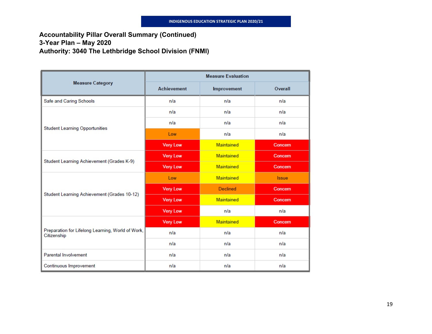### **Accountability Pillar Overall Summary (Continued) 3-Year Plan – May 2020 Authority: 3040 The Lethbridge School Division (FNMI)**

|                                                                  |                    | <b>Measure Evaluation</b> |              |
|------------------------------------------------------------------|--------------------|---------------------------|--------------|
| <b>Measure Category</b>                                          | <b>Achievement</b> | Improvement               | Overall      |
| Safe and Caring Schools                                          | n/a                | n/a                       | n/a          |
|                                                                  | n/a                | n/a                       | n/a          |
| <b>Student Learning Opportunities</b>                            | n/a                | n/a                       | n/a          |
|                                                                  | Low                | n/a                       | n/a          |
|                                                                  | <b>Very Low</b>    | Maintained                | Concern      |
| Student Learning Achievement (Grades K-9)                        | <b>Very Low</b>    | Maintained                | Concern      |
|                                                                  | <b>Very Low</b>    | Maintained                | Concern      |
|                                                                  | Low                | Maintained                | <b>Issue</b> |
|                                                                  | <b>Very Low</b>    | <b>Declined</b>           | Concern      |
| Student Learning Achievement (Grades 10-12)                      | <b>Very Low</b>    | <b>Maintained</b>         | Concern      |
|                                                                  | <b>Very Low</b>    | n/a                       | n/a          |
|                                                                  | <b>Very Low</b>    | Maintained                | Concern      |
| Preparation for Lifelong Learning, World of Work,<br>Citizenship | n/a                | n/a                       | n/a          |
|                                                                  | n/a                | n/a                       | n/a          |
| <b>Parental Involvement</b>                                      | n/a                | n/a                       | n/a          |
| Continuous Improvement                                           | n/a                | n/a                       | n/a          |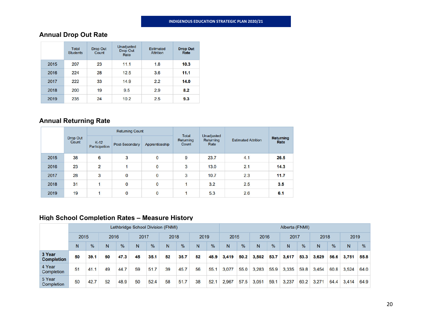## **Annual Drop Out Rate**

|      | <b>Total</b><br><b>Students</b> | <b>Drop Out</b><br>Count | Unadjusted<br><b>Drop Out</b><br>Rate | <b>Estimated</b><br><b>Attrition</b> | <b>Drop Out</b><br>Rate |
|------|---------------------------------|--------------------------|---------------------------------------|--------------------------------------|-------------------------|
| 2015 | 207                             | 23                       | 11.1                                  | 1.8                                  | 10.3                    |
| 2016 | 224                             | 28                       | 12.5                                  | 3.6                                  | 11.1                    |
| 2017 | 222                             | 33                       | 14.9                                  | 2.2                                  | 14.0                    |
| 2018 | 200                             | 19                       | 9.5                                   | 2.9                                  | 8.2                     |
| 2019 | 235                             | 24                       | 10.2                                  | 2.5                                  | 9.3                     |

# **Annual Returning Rate**

|      |                          |                         | <b>Returning Count</b> |                | Total              | Unadjusted        |                            | <b>Returning</b><br>Rate |  |
|------|--------------------------|-------------------------|------------------------|----------------|--------------------|-------------------|----------------------------|--------------------------|--|
|      | <b>Drop Out</b><br>Count | $K-12$<br>Participation | Post-Secondary         | Apprenticeship | Returning<br>Count | Returning<br>Rate | <b>Estimated Attrition</b> |                          |  |
| 2015 | 38                       | $6\phantom{a}$          | 3                      | $\mathbf 0$    | 9                  | 23.7              | 4.1                        | 26.5                     |  |
| 2016 | 23                       | $\overline{2}$          |                        | $\mathbf{0}$   | 3                  | 13.0              | 2.1                        | 14.3                     |  |
| 2017 | 28                       | 3                       | $\bf{0}$               | $\mathbf 0$    | 3                  | 10.7              | 2.3                        | 11.7                     |  |
| 2018 | 31                       |                         | $\mathbf 0$            | $\mathbf 0$    |                    | 3.2               | 2.5                        | 3.5                      |  |
| 2019 | 19                       |                         | $\mathbf 0$            | $\bf{0}$       |                    | 5.3               | 2.6                        | 6.1                      |  |

### **High School Completion Rates – Measure History**

|                             | Lethbridge School Division (FNMI) |      |      |               |      |               |      |               |      |               | Alberta (FNMI) |               |       |               |       |               |       |               |       |               |
|-----------------------------|-----------------------------------|------|------|---------------|------|---------------|------|---------------|------|---------------|----------------|---------------|-------|---------------|-------|---------------|-------|---------------|-------|---------------|
|                             | 2015                              |      | 2016 |               | 2017 |               | 2018 |               | 2019 |               | 2015           |               | 2016  |               | 2017  |               | 2018  |               | 2019  |               |
|                             | N                                 | $\%$ | N    | $\frac{9}{6}$ | N    | $\frac{9}{6}$ | N    | $\frac{9}{6}$ | N    | $\frac{9}{6}$ | N              | $\frac{9}{6}$ | N     | $\frac{0}{6}$ | N     | $\frac{0}{6}$ | N     | $\frac{9}{6}$ | N     | $\frac{9}{6}$ |
| 3 Year<br><b>Completion</b> | 50                                | 39.1 | 60   | 47.3          | 45   | 35.1          | 52   | 35.7          | 52   | 48.9          | 3,419          | 50.2          | 3,502 | 53.7          | 3,617 | 53.3          | 3,629 | 56.6          | 3.751 | 55.8          |
| 4 Year<br>Completion        | 51                                | 41.1 | 49   | 44.7          | 59   | 51.7          | 39   | 45.7          | 56   | 55.1          | 3,077          | 55.0          | 3,283 | 55.9          | 3,335 | 59.8          | 3.454 | 60.8          | 3.524 | 64.0          |
| 5 Year<br>Completion        | 50                                | 42.7 | 52   | 48.9          | 50   | 52.4          | 58   | 51.7          | 38   | 52.1          | 2.967          | 57.5          | 3.051 | 59.1          | 3.237 | 60.2          | 3.271 | 64.4          | 3.414 | 64.9          |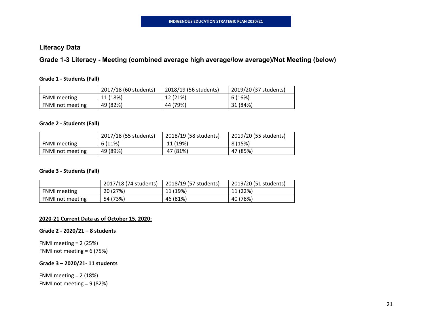### **Literacy Data**

**Grade 1-3 Literacy - Meeting (combined average high average/low average)/Not Meeting (below)** 

#### **Grade 1 ‐ Students (Fall)**

|                         | 2017/18 (60 students) | 2018/19 (56 students) | 2019/20 (37 students) |
|-------------------------|-----------------------|-----------------------|-----------------------|
| <b>FNMI</b> meeting     | 11 (18%)              | 12 (21%)              | 6 (16%)               |
| <b>FNMI</b> not meeting | 49 (82%)              | 44 (79%)              | 31 (84%)              |

#### **Grade 2 ‐ Students (Fall)**

|                         | 2017/18 (55 students) | 2018/19 (58 students) | 2019/20 (55 students) |
|-------------------------|-----------------------|-----------------------|-----------------------|
| <b>FNMI</b> meeting     | 6(11%)                | 11 (19%)              | 8 (15%)               |
| <b>FNMI not meeting</b> | 49 (89%)              | 47 (81%)              | 47 (85%)              |

#### **Grade 3 ‐ Students (Fall)**

|                         | 2017/18 (74 students) | 2018/19 (57 students) | 2019/20 (51 students) |
|-------------------------|-----------------------|-----------------------|-----------------------|
| <b>FNMI</b> meeting     | 20 (27%)              | 11 (19%)              | 11 (22%)              |
| <b>FNMI</b> not meeting | 54 (73%)              | 46 (81%)              | 40 (78%)              |

#### **2020‐21 Current Data as of October 15, 2020:**

#### **Grade 2 ‐ 2020/21 – 8 students**

FNMI meeting <sup>=</sup> 2 (25%) FNMI not meeting <sup>=</sup> 6 (75%)

#### **Grade 3 – 2020/21‐ 11 students**

FNMI meeting <sup>=</sup> 2 (18%) FNMI not meeting <sup>=</sup> 9 (82%)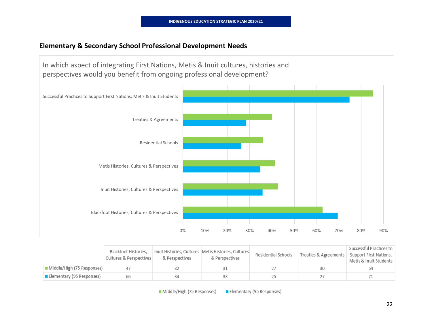### **Elementary & Secondary School Professional Development Needs**



|                            | Blackfoot Histories,<br>Cultures & Perspectives | & Perspectives | Inuit Histories, Cultures   Metis Histories, Cultures <br>& Perspectives | Residential Schools | Treaties & Agreements | Successful Practices to<br>Support First Nations,<br>Metis & Inuit Students |
|----------------------------|-------------------------------------------------|----------------|--------------------------------------------------------------------------|---------------------|-----------------------|-----------------------------------------------------------------------------|
| Middle/High (75 Responses) |                                                 |                |                                                                          |                     | 30                    | 64                                                                          |
| Elementary (95 Responses)  | 66                                              | 34             |                                                                          |                     |                       |                                                                             |

Middle/High (75 Responses) Elementary (95 Responses)